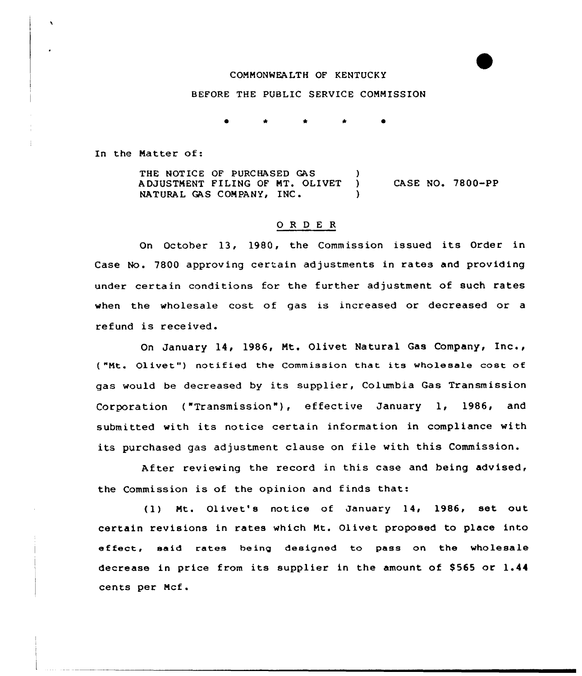#### COMMONWEALTH OF KENTUCKY

## BEFORE THE PUBLIC SERVICE COMMISSION

In the Matter of:

THE NOTICE OF PURCHASED GAS (1998)<br>ADJUSTMENT FILING OF MT. OLIVET (1998) ADJUSTMENT FILING OF MT. OLIVET NATURAL GAS COMPANY, INC. CASE NO. 7800-PP

## 0 <sup>R</sup> <sup>D</sup> E <sup>R</sup>

On October 13, 1980, the Commission issued its Order in Case No. 7800 approving certain adjustments in rates and providing under certain conditions for the further adjustment of such rates when the wholesale cost of gas is increased or decreased or a refund is received.

On January 14, 1986, Mt. Olivet Natural Gas Company, Inc., ( "Mt. Olivet") notified the Commission that its wholesale cost ot gas would be decreased by its supplier, Columbia Gas Transmission Corporation ("Transmission"), effective January 1, 1986, and submitted with its notice certain information in compliance with its purchased gas adjustment clause on file with this Commission.

After reviewing the record in this case and being advised, the Commission is of the opinion and finds that:

(1) Mt. Olivet's notice of January 14< 1986, set out certain revisions in rates which Mt. Olivet proposed to place into effect, said rates being designed to pass on the wholesale decrease in price from its supplier in the amount of \$565 or 1.44 cents per Mcf.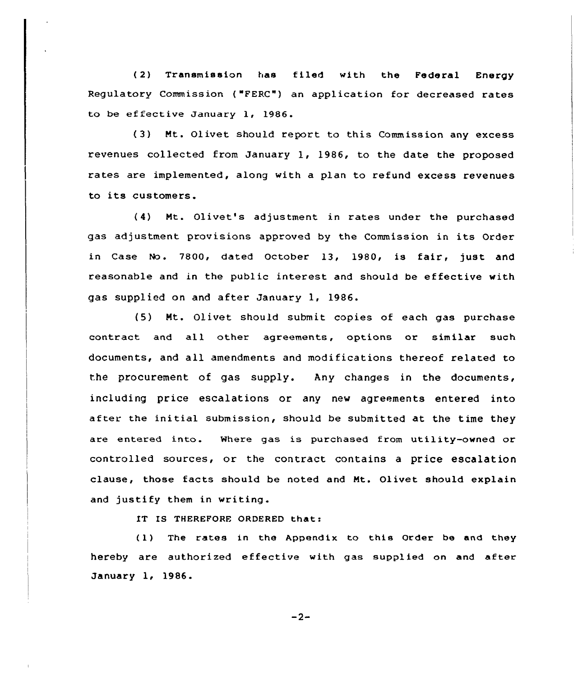(2) Transmission has filed with the Federal Energy Regulatory Commission ( "FERC") an application for decreased rates to be ef fective January 1, 1986.

(3) Mt. Olivet should report to this Commission any excess revenues collected from January 1, 1986, to the date the proposed rates are implemented, along with a plan to refund excess revenues to its customers.

(4) Ht. Olivet's adjustment in rates under the purchased gas adjustment provisions approved by the Commission in its Order in Case No. 7800, dated October 13, 1980, is fair, just and reasonable and in the public interest and should be effective with gas supplied on and after January 1, 1986.

(5) Mt. Olivet should submit copies of each gas purchase contract and all other agreements, options or similar such documents, and all amendments and modifications thereof related to the procurement of gas supply. Any changes in the documents, including price escalations or any new agreements entered into after the initial submission, should be submitted at the time they are entered into. Where gas is purchased from utility-owned or controlled sources, or the contract contains a price escalation clause, those facts should be noted and Nt. Olivet should explain and justify them in writing.

IT IS THEREFORE ORDERED that:

(1} The rates in the Appendix to this Order be and they hereby are authorized effective with gas supplied on and after January 1, 1986.

 $-2-$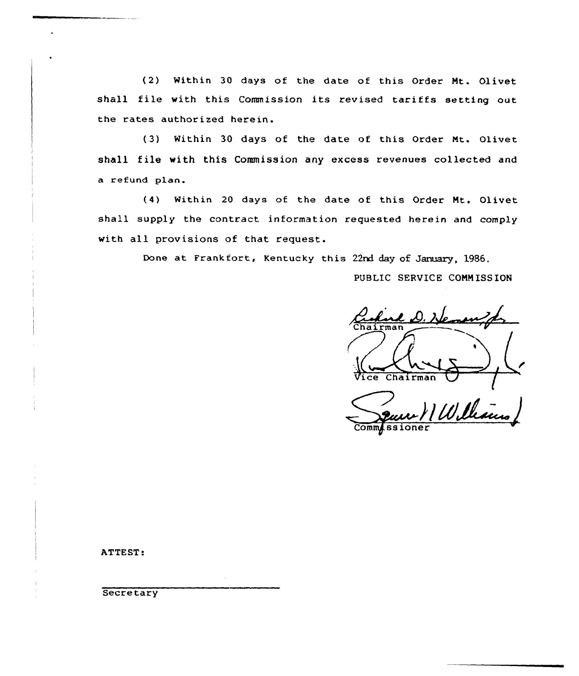(2) Within 30 days of the date of this Order Mt. Olivet shall file with this Commission its revised tariffs setting out the rates authorized herein.

(3) Within 30 days of the date of this Order Mt. Olivet shall file with this Commission any excess revenues collected and a refund plan.

(4} Within 20 days of the date of this Order Nt. Olivet shall supply the contract information requested herein and comply with all provisions of that request.

Done at Frankfort, Kentucky this 22rd day of January, 1986.

PUBLIC SERVICE COMMISSION

Vice Chairman VIW lleaus

Comm<sub>issione</sub>

ATTEST:

**Secretary**